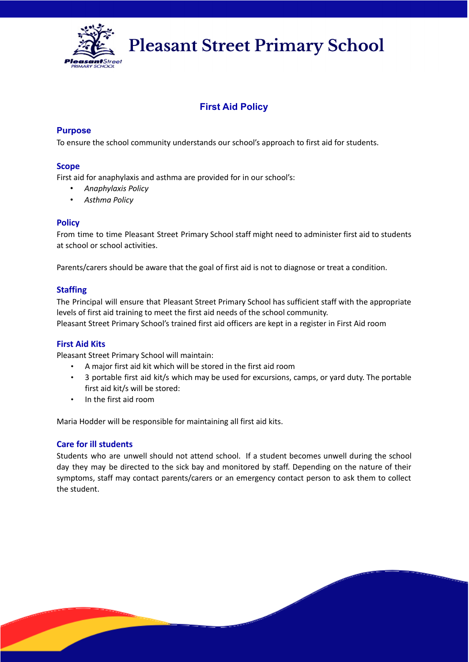

**Pleasant Street Primary School** 

# **First Aid Policy**

## **Purpose**

To ensure the school community understands our school's approach to first aid for students.

## **Scope**

First aid for anaphylaxis and asthma are provided for in our school's:

- *Anaphylaxis Policy*
- *Asthma Policy*

#### **Policy**

From time to time Pleasant Street Primary School staff might need to administer first aid to students at school or school activities.

Parents/carers should be aware that the goal of first aid is not to diagnose or treat a condition.

## **Staffing**

The Principal will ensure that Pleasant Street Primary School has sufficient staff with the appropriate levels of first aid training to meet the first aid needs of the school community. Pleasant Street Primary School's trained first aid officers are kept in a register in First Aid room

## **First Aid Kits**

Pleasant Street Primary School will maintain:

- A major first aid kit which will be stored in the first aid room
- 3 portable first aid kit/s which may be used for excursions, camps, or yard duty. The portable first aid kit/s will be stored:
- In the first aid room

Maria Hodder will be responsible for maintaining all first aid kits.

## **Care for ill students**

Students who are unwell should not attend school. If a student becomes unwell during the school day they may be directed to the sick bay and monitored by staff. Depending on the nature of their symptoms, staff may contact parents/carers or an emergency contact person to ask them to collect the student.